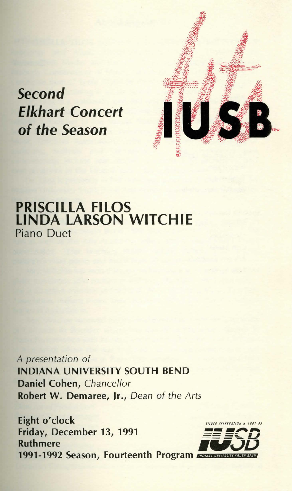

*Second* 

# PRISCILLA FILOS LINDA LARSON WITCHIE Piano Duet

A presentation of INDIANA UNIVERSITY SOUTH BEND Daniel Cohen, Chancellor Robert W. Demaree, Jr., Dean of the Arts

Eight o'clock Friday, December 13, 1991<br>Ruthmere Ruthmere **FLJSD** 1991-1992 Season, Fourteenth Program *WWW.WWW.66WW SOUTH BEND* 

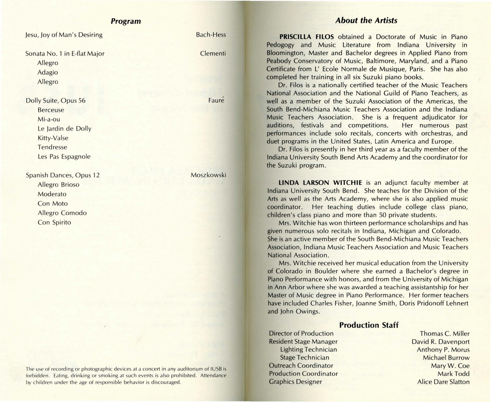### **Program**

Jesu, Joy of Man's Desiring Bach-Hess Sonata No. 1 in E-flat Major Clementi Allegro Adagio Allegro Dolly Suite, Opus 56 Faure Berceuse Mi-a-ou Le Jardin de Dolly Kitty-Valse Tendresse Les Pas Espagnole Spanish Dances, Opus 12 Moszkowski Allegro Brioso Moderato Con Mato Allegro Comodo Con Spirito

The use of recording or photographic devices at a concert in any auditorium of IUSB is forbidden. Eating, drinking or smoking at such events is also prohibited. Attendance by children under the age of responsible behavior is discouraged.

## **About the Artists**

**PRISCILLA FILOS** obtained a Doctorate of Music in Piano Pedagogy and Music Literature from Indiana University in Bloomington, Master and Bachelor degrees in Applied Piano from Peabody Conservatory of Music, Baltimore, Maryland, and a Piano Certificate from L' Ecole Normale de Musique, Paris. She has also completed her training in all six Suzuki piano books.

Dr. Filos is a nationally certified teacher of the Music Teachers National Association and the National Guild of Piano Teachers, as **well** as a member of the Suzuki Association of the Americas, the South Bend-Michiana Music Teachers Association and the Indiana Music Teachers Association. She is a frequent adjudicator for auditions, festivals and competitions. Her numerous past performances include solo recitals, concerts with orchestras, and duet programs in the United States, Latin America and Europe.

Dr. Filos is presently in her third year as a faculty member of the Indiana University South Bend Arts Academy and the coordinator for the Suzuki program.

**LINDA LARSON WITCHIE** is an adjunct faculty member at Indiana University South Bend. She teaches for the Division of the **Arts** as well as the Arts Academy, where she is also applied music coordinator. Her teaching duties include college class piano, children's class piano and more than 50 private students.

Mrs. Witchie has won thirteen performance scholarships and has given numerous solo recitals in Indiana, Michigan and Colorado. She is an active member of the South Bend-Michiana Music Teachers Association, Indiana Music Teachers Association and Music Teachers National Association.

Mrs. Witchie received her musical education from the University of Colorado in Boulder where she earned a Bachelor's degree in Piano Performance with honors, and from the University of Michigan in Ann Arbor where she was awarded a teaching assistantship for her Master of Music degree in Piano Performance. Her former teachers have included Charles Fisher, Joanne Smith, Doris Pridonoff Lehnert and John Owings.

## **Production Staff**

Resident Stage Manager David R. Davenport Lighting Technician Anthony P. Morus **Stage Technician Michael Burrow Outreach Coordinator** Mary W. Coe Production Coordinator Mark Todd **Graphics Designer Alice Dare Slatton** 

**Director of Production Thomas C. Miller**